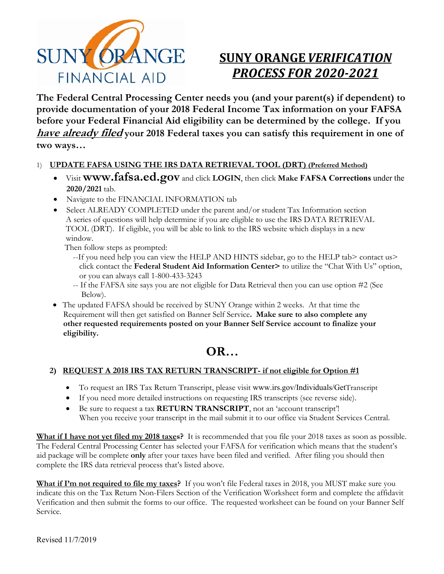

# **SUNY ORANGE***VERIFICATION PROCESS FOR 2020‐2021*

**The Federal Central Processing Center needs you (and your parent(s) if dependent) to provide documentation of your 2018 Federal Income Tax information on your FAFSA before your Federal Financial Aid eligibility can be determined by the college. If you have already filed your 2018 Federal taxes you can satisfy this requirement in one of two ways…**

#### 1) **UPDATE FAFSA USING THE IRS DATA RETRIEVAL TOOL (DRT) (Preferred Method)**

- Visit **www.fafsa.ed.gov** and click **LOGIN**, then click **Make FAFSA Corrections** under the **2020/2021** tab.
- Navigate to the FINANCIAL INFORMATION tab
- Select ALREADY COMPLETED under the parent and/or student Tax Information section A series of questions will help determine if you are eligible to use the IRS DATA RETRIEVAL TOOL (DRT). If eligible, you will be able to link to the IRS website which displays in a new window.

Then follow steps as prompted:

- --If you need help you can view the HELP AND HINTS sidebar, go to the HELP tab> contact us> click contact the **Federal Student Aid Information Center>** to utilize the "Chat With Us" option, or you can always call 1-800-433-3243
- -- If the FAFSA site says you are not eligible for Data Retrieval then you can use option #2 (See Below).
- The updated FAFSA should be received by SUNY Orange within 2 weeks. At that time the Requirement will then get satisfied on Banner Self Service**. Make sure to also complete any other requested requirements posted on your Banner Self Service account to finalize your eligibility.**

## **OR…**

#### **2) REQUEST A 2018 IRS TAX RETURN TRANSCRIPT- if not eligible for Option #1**

- To request an IRS Tax Return Transcript, please visit www.irs.gov/Individuals/GetTranscript
- If you need more detailed instructions on requesting IRS transcripts (see reverse side).
- Be sure to request a tax **RETURN TRANSCRIPT**, not an 'account transcript'! When you receive your transcript in the mail submit it to our office via Student Services Central.

**What if I have not yet filed my 2018 taxes?** It is recommended that you file your 2018 taxes as soon as possible. The Federal Central Processing Center has selected your FAFSA for verification which means that the student's aid package will be complete **only** after your taxes have been filed and verified. After filing you should then complete the IRS data retrieval process that's listed above.

**What if I'm not required to file my taxes?** If you won't file Federal taxes in 2018, you MUST make sure you indicate this on the Tax Return Non-Filers Section of the Verification Worksheet form and complete the affidavit Verification and then submit the forms to our office. The requested worksheet can be found on your Banner Self Service.